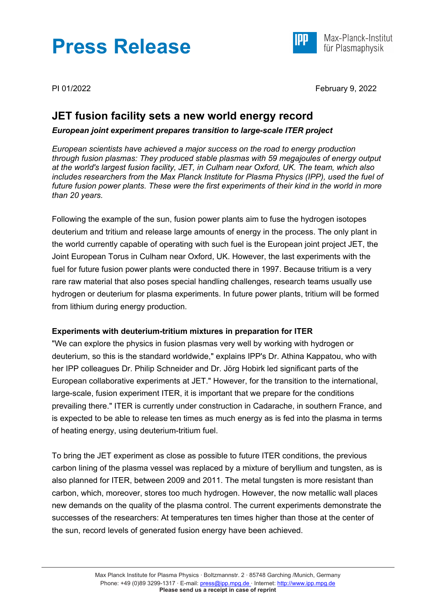# **Press Release**



Max-Planck-Institut für Plasmaphysik

PI 01/2022 February 9, 2022

# **JET fusion facility sets a new world energy record**

## *European joint experiment prepares transition to large-scale ITER project*

*European scientists have achieved a major success on the road to energy production through fusion plasmas: They produced stable plasmas with 59 megajoules of energy output at the world's largest fusion facility, JET, in Culham near Oxford, UK. The team, which also includes researchers from the Max Planck Institute for Plasma Physics (IPP), used the fuel of future fusion power plants. These were the first experiments of their kind in the world in more than 20 years.*

Following the example of the sun, fusion power plants aim to fuse the hydrogen isotopes deuterium and tritium and release large amounts of energy in the process. The only plant in the world currently capable of operating with such fuel is the European joint project JET, the Joint European Torus in Culham near Oxford, UK. However, the last experiments with the fuel for future fusion power plants were conducted there in 1997. Because tritium is a very rare raw material that also poses special handling challenges, research teams usually use hydrogen or deuterium for plasma experiments. In future power plants, tritium will be formed from lithium during energy production.

# **Experiments with deuterium-tritium mixtures in preparation for ITER**

"We can explore the physics in fusion plasmas very well by working with hydrogen or deuterium, so this is the standard worldwide," explains IPP's Dr. Athina Kappatou, who with her IPP colleagues Dr. Philip Schneider and Dr. Jörg Hobirk led significant parts of the European collaborative experiments at JET." However, for the transition to the international, large-scale, fusion experiment ITER, it is important that we prepare for the conditions prevailing there." ITER is currently under construction in Cadarache, in southern France, and is expected to be able to release ten times as much energy as is fed into the plasma in terms of heating energy, using deuterium-tritium fuel.

To bring the JET experiment as close as possible to future ITER conditions, the previous carbon lining of the plasma vessel was replaced by a mixture of beryllium and tungsten, as is also planned for ITER, between 2009 and 2011. The metal tungsten is more resistant than carbon, which, moreover, stores too much hydrogen. However, the now metallic wall places new demands on the quality of the plasma control. The current experiments demonstrate the successes of the researchers: At temperatures ten times higher than those at the center of the sun, record levels of generated fusion energy have been achieved.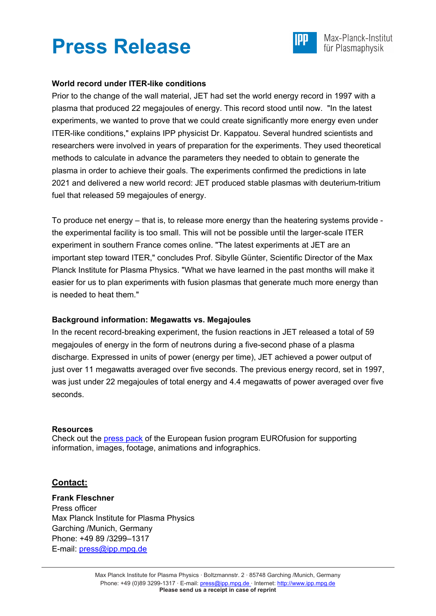



### **World record under ITER-like conditions**

Prior to the change of the wall material, JET had set the world energy record in 1997 with a plasma that produced 22 megajoules of energy. This record stood until now. "In the latest experiments, we wanted to prove that we could create significantly more energy even under ITER-like conditions," explains IPP physicist Dr. Kappatou. Several hundred scientists and researchers were involved in years of preparation for the experiments. They used theoretical methods to calculate in advance the parameters they needed to obtain to generate the plasma in order to achieve their goals. The experiments confirmed the predictions in late 2021 and delivered a new world record: JET produced stable plasmas with deuterium-tritium fuel that released 59 megajoules of energy.

To produce net energy – that is, to release more energy than the heatering systems provide the experimental facility is too small. This will not be possible until the larger-scale ITER experiment in southern France comes online. "The latest experiments at JET are an important step toward ITER," concludes Prof. Sibylle Günter, Scientific Director of the Max Planck Institute for Plasma Physics. "What we have learned in the past months will make it easier for us to plan experiments with fusion plasmas that generate much more energy than is needed to heat them."

#### **Background information: Megawatts vs. Megajoules**

In the recent record-breaking experiment, the fusion reactions in JET released a total of 59 megajoules of energy in the form of neutrons during a five-second phase of a plasma discharge. Expressed in units of power (energy per time), JET achieved a power output of just over 11 megawatts averaged over five seconds. The previous energy record, set in 1997, was just under 22 megajoules of total energy and 4.4 megawatts of power averaged over five seconds.

#### **Resources**

Check out the [press pack](https://surfdrive.surf.nl/files/index.php/s/43HKvUVCgEfA8vv) of the European fusion program EUROfusion for supporting information, images, footage, animations and infographics.

### **Contact:**

**Frank Fleschner** Press officer Max Planck Institute for Plasma Physics Garching /Munich, Germany Phone: +49 89 /3299–1317 E-mail: [press@ipp.mpg.de](mailto:press@ipp.mpg.de)